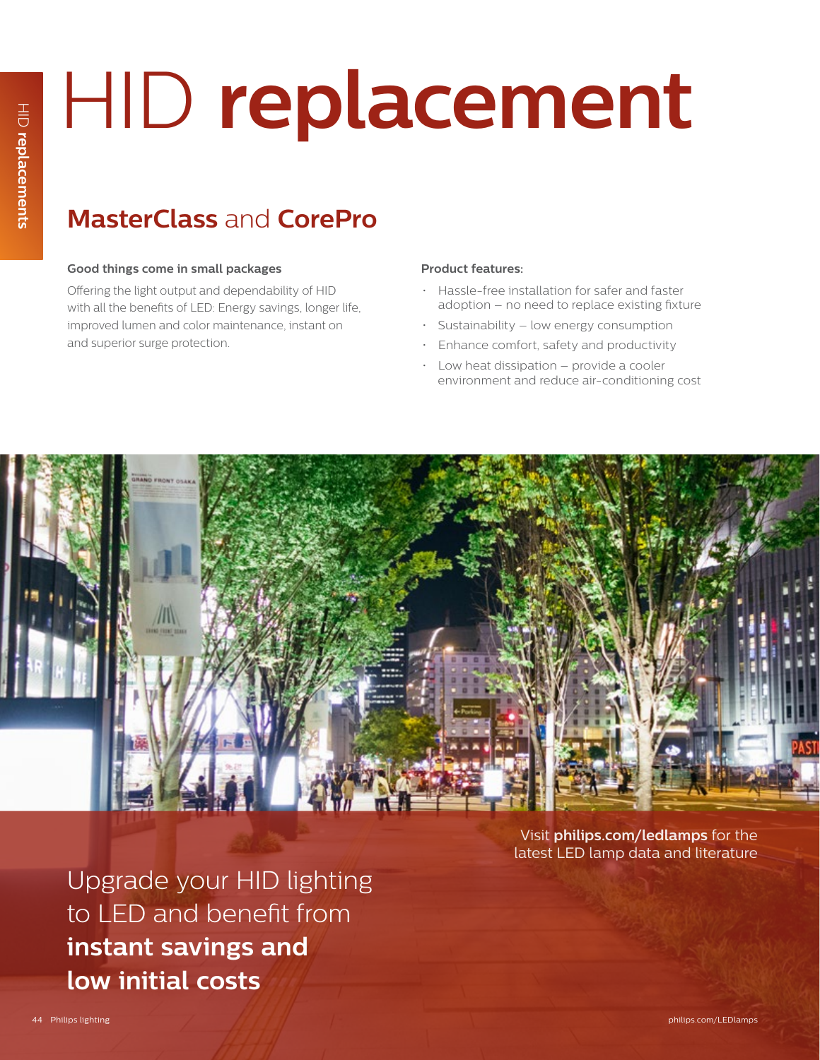# HID **replacement**

## **MasterClass** and **CorePro**

## **Good things come in small packages**

Offering the light output and dependability of HID with all the benefits of LED: Energy savings, longer life, improved lumen and color maintenance, instant on and superior surge protection.

## **Product features:**

- Hassle-free installation for safer and faster adoption – no need to replace existing fixture
- Sustainability low energy consumption
- Enhance comfort, safety and productivity
- Low heat dissipation provide a cooler environment and reduce air-conditioning cost



Upgrade your HID lighting to LED and benefit from **instant savings and low initial costs**

Visit **philips.com/ledlamps** for the latest LED lamp data and literature